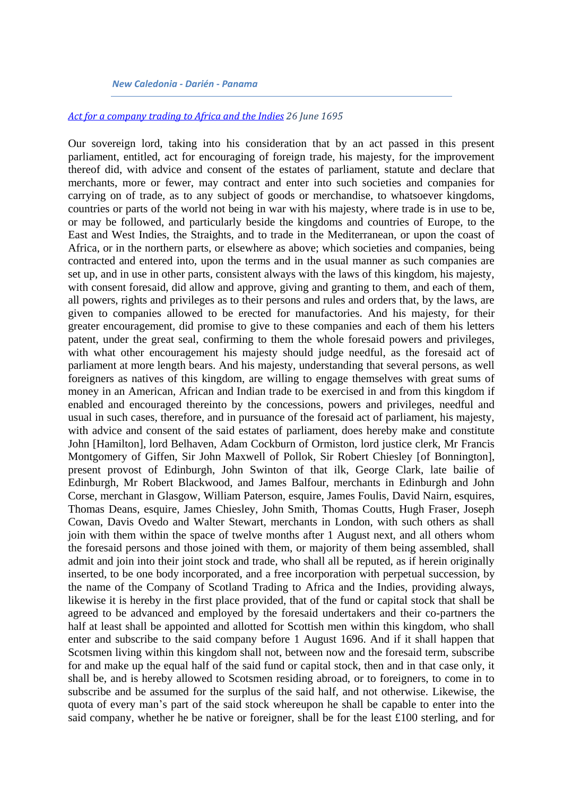#### *New Caledonia - Darién - Panama*

#### *[Act for a company trading to Africa and the Indies](http://www.rps.ac.uk/trans/1695/5/104) 26 June 1695*

Our sovereign lord, taking into his consideration that by an act passed in this present parliament, entitled, act for encouraging of foreign trade, his majesty, for the improvement thereof did, with advice and consent of the estates of parliament, statute and declare that merchants, more or fewer, may contract and enter into such societies and companies for carrying on of trade, as to any subject of goods or merchandise, to whatsoever kingdoms, countries or parts of the world not being in war with his majesty, where trade is in use to be, or may be followed, and particularly beside the kingdoms and countries of Europe, to the East and West Indies, the Straights, and to trade in the Mediterranean, or upon the coast of Africa, or in the northern parts, or elsewhere as above; which societies and companies, being contracted and entered into, upon the terms and in the usual manner as such companies are set up, and in use in other parts, consistent always with the laws of this kingdom, his majesty, with consent foresaid, did allow and approve, giving and granting to them, and each of them, all powers, rights and privileges as to their persons and rules and orders that, by the laws, are given to companies allowed to be erected for manufactories. And his majesty, for their greater encouragement, did promise to give to these companies and each of them his letters patent, under the great seal, confirming to them the whole foresaid powers and privileges, with what other encouragement his majesty should judge needful, as the foresaid act of parliament at more length bears. And his majesty, understanding that several persons, as well foreigners as natives of this kingdom, are willing to engage themselves with great sums of money in an American, African and Indian trade to be exercised in and from this kingdom if enabled and encouraged thereinto by the concessions, powers and privileges, needful and usual in such cases, therefore, and in pursuance of the foresaid act of parliament, his majesty, with advice and consent of the said estates of parliament, does hereby make and constitute John [Hamilton], lord Belhaven, Adam Cockburn of Ormiston, lord justice clerk, Mr Francis Montgomery of Giffen, Sir John Maxwell of Pollok, Sir Robert Chiesley [of Bonnington], present provost of Edinburgh, John Swinton of that ilk, George Clark, late bailie of Edinburgh, Mr Robert Blackwood, and James Balfour, merchants in Edinburgh and John Corse, merchant in Glasgow, William Paterson, esquire, James Foulis, David Nairn, esquires, Thomas Deans, esquire, James Chiesley, John Smith, Thomas Coutts, Hugh Fraser, Joseph Cowan, Davis Ovedo and Walter Stewart, merchants in London, with such others as shall join with them within the space of twelve months after 1 August next, and all others whom the foresaid persons and those joined with them, or majority of them being assembled, shall admit and join into their joint stock and trade, who shall all be reputed, as if herein originally inserted, to be one body incorporated, and a free incorporation with perpetual succession, by the name of the Company of Scotland Trading to Africa and the Indies, providing always, likewise it is hereby in the first place provided, that of the fund or capital stock that shall be agreed to be advanced and employed by the foresaid undertakers and their co-partners the half at least shall be appointed and allotted for Scottish men within this kingdom, who shall enter and subscribe to the said company before 1 August 1696. And if it shall happen that Scotsmen living within this kingdom shall not, between now and the foresaid term, subscribe for and make up the equal half of the said fund or capital stock, then and in that case only, it shall be, and is hereby allowed to Scotsmen residing abroad, or to foreigners, to come in to subscribe and be assumed for the surplus of the said half, and not otherwise. Likewise, the quota of every man's part of the said stock whereupon he shall be capable to enter into the said company, whether he be native or foreigner, shall be for the least £100 sterling, and for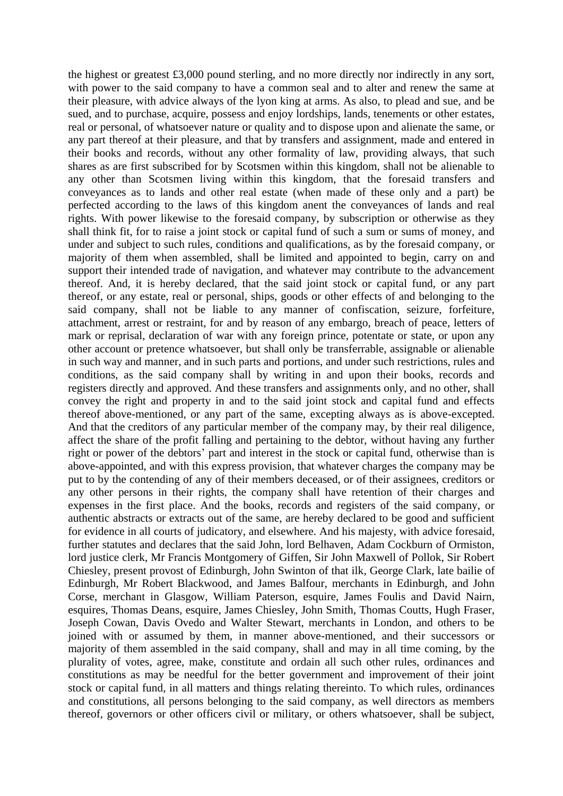the highest or greatest £3,000 pound sterling, and no more directly nor indirectly in any sort, with power to the said company to have a common seal and to alter and renew the same at their pleasure, with advice always of the lyon king at arms. As also, to plead and sue, and be sued, and to purchase, acquire, possess and enjoy lordships, lands, tenements or other estates, real or personal, of whatsoever nature or quality and to dispose upon and alienate the same, or any part thereof at their pleasure, and that by transfers and assignment, made and entered in their books and records, without any other formality of law, providing always, that such shares as are first subscribed for by Scotsmen within this kingdom, shall not be alienable to any other than Scotsmen living within this kingdom, that the foresaid transfers and conveyances as to lands and other real estate (when made of these only and a part) be perfected according to the laws of this kingdom anent the conveyances of lands and real rights. With power likewise to the foresaid company, by subscription or otherwise as they shall think fit, for to raise a joint stock or capital fund of such a sum or sums of money, and under and subject to such rules, conditions and qualifications, as by the foresaid company, or majority of them when assembled, shall be limited and appointed to begin, carry on and support their intended trade of navigation, and whatever may contribute to the advancement thereof. And, it is hereby declared, that the said joint stock or capital fund, or any part thereof, or any estate, real or personal, ships, goods or other effects of and belonging to the said company, shall not be liable to any manner of confiscation, seizure, forfeiture, attachment, arrest or restraint, for and by reason of any embargo, breach of peace, letters of mark or reprisal, declaration of war with any foreign prince, potentate or state, or upon any other account or pretence whatsoever, but shall only be transferrable, assignable or alienable in such way and manner, and in such parts and portions, and under such restrictions, rules and conditions, as the said company shall by writing in and upon their books, records and registers directly and approved. And these transfers and assignments only, and no other, shall convey the right and property in and to the said joint stock and capital fund and effects thereof above-mentioned, or any part of the same, excepting always as is above-excepted. And that the creditors of any particular member of the company may, by their real diligence, affect the share of the profit falling and pertaining to the debtor, without having any further right or power of the debtors' part and interest in the stock or capital fund, otherwise than is above-appointed, and with this express provision, that whatever charges the company may be put to by the contending of any of their members deceased, or of their assignees, creditors or any other persons in their rights, the company shall have retention of their charges and expenses in the first place. And the books, records and registers of the said company, or authentic abstracts or extracts out of the same, are hereby declared to be good and sufficient for evidence in all courts of judicatory, and elsewhere. And his majesty, with advice foresaid, further statutes and declares that the said John, lord Belhaven, Adam Cockburn of Ormiston, lord justice clerk, Mr Francis Montgomery of Giffen, Sir John Maxwell of Pollok, Sir Robert Chiesley, present provost of Edinburgh, John Swinton of that ilk, George Clark, late bailie of Edinburgh, Mr Robert Blackwood, and James Balfour, merchants in Edinburgh, and John Corse, merchant in Glasgow, William Paterson, esquire, James Foulis and David Nairn, esquires, Thomas Deans, esquire, James Chiesley, John Smith, Thomas Coutts, Hugh Fraser, Joseph Cowan, Davis Ovedo and Walter Stewart, merchants in London, and others to be joined with or assumed by them, in manner above-mentioned, and their successors or majority of them assembled in the said company, shall and may in all time coming, by the plurality of votes, agree, make, constitute and ordain all such other rules, ordinances and constitutions as may be needful for the better government and improvement of their joint stock or capital fund, in all matters and things relating thereinto. To which rules, ordinances and constitutions, all persons belonging to the said company, as well directors as members thereof, governors or other officers civil or military, or others whatsoever, shall be subject,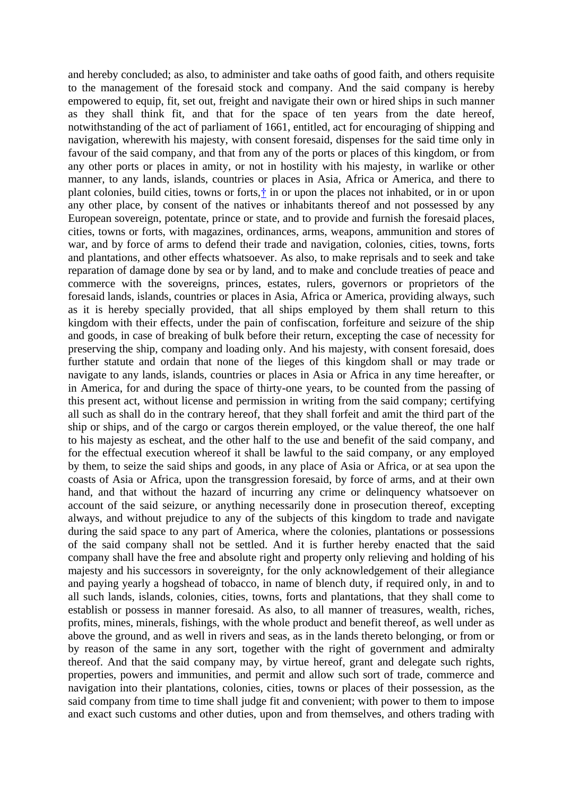and hereby concluded; as also, to administer and take oaths of good faith, and others requisite to the management of the foresaid stock and company. And the said company is hereby empowered to equip, fit, set out, freight and navigate their own or hired ships in such manner as they shall think fit, and that for the space of ten years from the date hereof, notwithstanding of the act of parliament of 1661, entitled, act for encouraging of shipping and navigation, wherewith his majesty, with consent foresaid, dispenses for the said time only in favour of the said company, and that from any of the ports or places of this kingdom, or from any other ports or places in amity, or not in hostility with his majesty, in warlike or other manner, to any lands, islands, countries or places in Asia, Africa or America, and there to plant colonies, build cities, towns or forts[,†](http://www.rps.ac.uk/search.php?action=fc&fn=williamii_trans&id=id22246&query=1695%2F5%2F104&type=trans&variants=&google=#n2) in or upon the places not inhabited, or in or upon any other place, by consent of the natives or inhabitants thereof and not possessed by any European sovereign, potentate, prince or state, and to provide and furnish the foresaid places, cities, towns or forts, with magazines, ordinances, arms, weapons, ammunition and stores of war, and by force of arms to defend their trade and navigation, colonies, cities, towns, forts and plantations, and other effects whatsoever. As also, to make reprisals and to seek and take reparation of damage done by sea or by land, and to make and conclude treaties of peace and commerce with the sovereigns, princes, estates, rulers, governors or proprietors of the foresaid lands, islands, countries or places in Asia, Africa or America, providing always, such as it is hereby specially provided, that all ships employed by them shall return to this kingdom with their effects, under the pain of confiscation, forfeiture and seizure of the ship and goods, in case of breaking of bulk before their return, excepting the case of necessity for preserving the ship, company and loading only. And his majesty, with consent foresaid, does further statute and ordain that none of the lieges of this kingdom shall or may trade or navigate to any lands, islands, countries or places in Asia or Africa in any time hereafter, or in America, for and during the space of thirty-one years, to be counted from the passing of this present act, without license and permission in writing from the said company; certifying all such as shall do in the contrary hereof, that they shall forfeit and amit the third part of the ship or ships, and of the cargo or cargos therein employed, or the value thereof, the one half to his majesty as escheat, and the other half to the use and benefit of the said company, and for the effectual execution whereof it shall be lawful to the said company, or any employed by them, to seize the said ships and goods, in any place of Asia or Africa, or at sea upon the coasts of Asia or Africa, upon the transgression foresaid, by force of arms, and at their own hand, and that without the hazard of incurring any crime or delinquency whatsoever on account of the said seizure, or anything necessarily done in prosecution thereof, excepting always, and without prejudice to any of the subjects of this kingdom to trade and navigate during the said space to any part of America, where the colonies, plantations or possessions of the said company shall not be settled. And it is further hereby enacted that the said company shall have the free and absolute right and property only relieving and holding of his majesty and his successors in sovereignty, for the only acknowledgement of their allegiance and paying yearly a hogshead of tobacco, in name of blench duty, if required only, in and to all such lands, islands, colonies, cities, towns, forts and plantations, that they shall come to establish or possess in manner foresaid. As also, to all manner of treasures, wealth, riches, profits, mines, minerals, fishings, with the whole product and benefit thereof, as well under as above the ground, and as well in rivers and seas, as in the lands thereto belonging, or from or by reason of the same in any sort, together with the right of government and admiralty thereof. And that the said company may, by virtue hereof, grant and delegate such rights, properties, powers and immunities, and permit and allow such sort of trade, commerce and navigation into their plantations, colonies, cities, towns or places of their possession, as the said company from time to time shall judge fit and convenient; with power to them to impose and exact such customs and other duties, upon and from themselves, and others trading with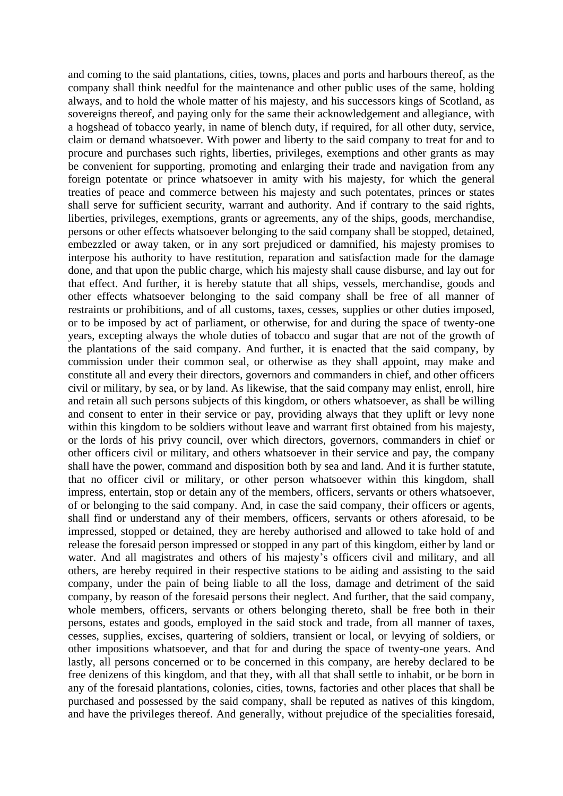and coming to the said plantations, cities, towns, places and ports and harbours thereof, as the company shall think needful for the maintenance and other public uses of the same, holding always, and to hold the whole matter of his majesty, and his successors kings of Scotland, as sovereigns thereof, and paying only for the same their acknowledgement and allegiance, with a hogshead of tobacco yearly, in name of blench duty, if required, for all other duty, service, claim or demand whatsoever. With power and liberty to the said company to treat for and to procure and purchases such rights, liberties, privileges, exemptions and other grants as may be convenient for supporting, promoting and enlarging their trade and navigation from any foreign potentate or prince whatsoever in amity with his majesty, for which the general treaties of peace and commerce between his majesty and such potentates, princes or states shall serve for sufficient security, warrant and authority. And if contrary to the said rights, liberties, privileges, exemptions, grants or agreements, any of the ships, goods, merchandise, persons or other effects whatsoever belonging to the said company shall be stopped, detained, embezzled or away taken, or in any sort prejudiced or damnified, his majesty promises to interpose his authority to have restitution, reparation and satisfaction made for the damage done, and that upon the public charge, which his majesty shall cause disburse, and lay out for that effect. And further, it is hereby statute that all ships, vessels, merchandise, goods and other effects whatsoever belonging to the said company shall be free of all manner of restraints or prohibitions, and of all customs, taxes, cesses, supplies or other duties imposed, or to be imposed by act of parliament, or otherwise, for and during the space of twenty-one years, excepting always the whole duties of tobacco and sugar that are not of the growth of the plantations of the said company. And further, it is enacted that the said company, by commission under their common seal, or otherwise as they shall appoint, may make and constitute all and every their directors, governors and commanders in chief, and other officers civil or military, by sea, or by land. As likewise, that the said company may enlist, enroll, hire and retain all such persons subjects of this kingdom, or others whatsoever, as shall be willing and consent to enter in their service or pay, providing always that they uplift or levy none within this kingdom to be soldiers without leave and warrant first obtained from his majesty, or the lords of his privy council, over which directors, governors, commanders in chief or other officers civil or military, and others whatsoever in their service and pay, the company shall have the power, command and disposition both by sea and land. And it is further statute, that no officer civil or military, or other person whatsoever within this kingdom, shall impress, entertain, stop or detain any of the members, officers, servants or others whatsoever, of or belonging to the said company. And, in case the said company, their officers or agents, shall find or understand any of their members, officers, servants or others aforesaid, to be impressed, stopped or detained, they are hereby authorised and allowed to take hold of and release the foresaid person impressed or stopped in any part of this kingdom, either by land or water. And all magistrates and others of his majesty's officers civil and military, and all others, are hereby required in their respective stations to be aiding and assisting to the said company, under the pain of being liable to all the loss, damage and detriment of the said company, by reason of the foresaid persons their neglect. And further, that the said company, whole members, officers, servants or others belonging thereto, shall be free both in their persons, estates and goods, employed in the said stock and trade, from all manner of taxes, cesses, supplies, excises, quartering of soldiers, transient or local, or levying of soldiers, or other impositions whatsoever, and that for and during the space of twenty-one years. And lastly, all persons concerned or to be concerned in this company, are hereby declared to be free denizens of this kingdom, and that they, with all that shall settle to inhabit, or be born in any of the foresaid plantations, colonies, cities, towns, factories and other places that shall be purchased and possessed by the said company, shall be reputed as natives of this kingdom, and have the privileges thereof. And generally, without prejudice of the specialities foresaid,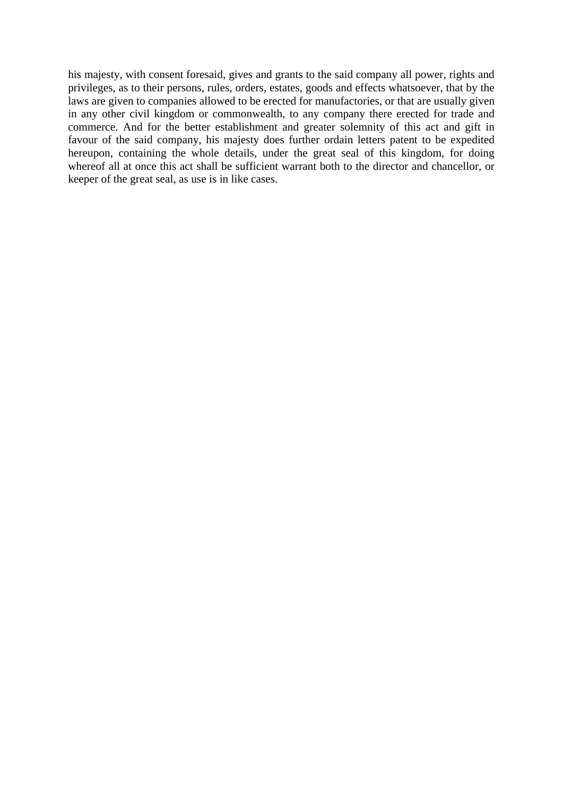his majesty, with consent foresaid, gives and grants to the said company all power, rights and privileges, as to their persons, rules, orders, estates, goods and effects whatsoever, that by the laws are given to companies allowed to be erected for manufactories, or that are usually given in any other civil kingdom or commonwealth, to any company there erected for trade and commerce. And for the better establishment and greater solemnity of this act and gift in favour of the said company, his majesty does further ordain letters patent to be expedited hereupon, containing the whole details, under the great seal of this kingdom, for doing whereof all at once this act shall be sufficient warrant both to the director and chancellor, or keeper of the great seal, as use is in like cases.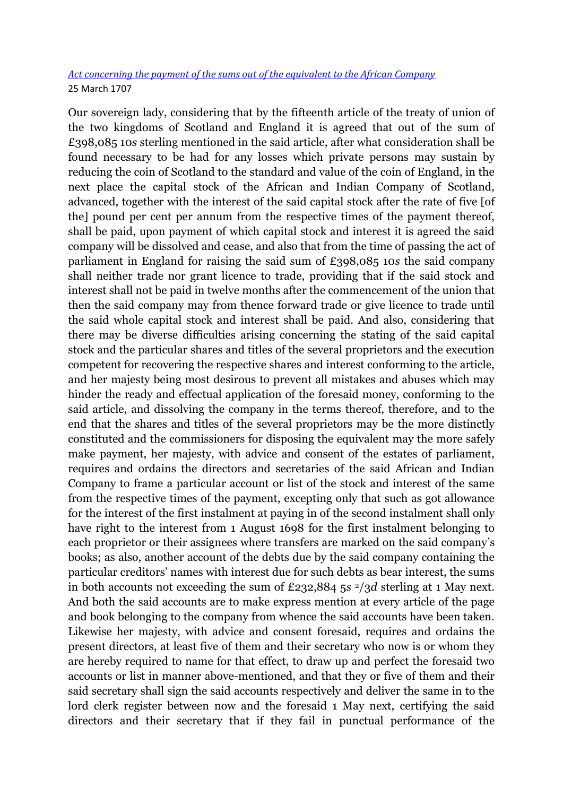### *[Act concerning the payment of the sums out of the equivalent to the African Company](http://www.rps.ac.uk/trans/1706/10/463)* 25 March 1707

Our sovereign lady, considering that by the fifteenth article of the treaty of union of the two kingdoms of Scotland and England it is agreed that out of the sum of £398,085 10*s* sterling mentioned in the said article, after what consideration shall be found necessary to be had for any losses which private persons may sustain by reducing the coin of Scotland to the standard and value of the coin of England, in the next place the capital stock of the African and Indian Company of Scotland, advanced, together with the interest of the said capital stock after the rate of five [of the] pound per cent per annum from the respective times of the payment thereof, shall be paid, upon payment of which capital stock and interest it is agreed the said company will be dissolved and cease, and also that from the time of passing the act of parliament in England for raising the said sum of £398,085 10*s* the said company shall neither trade nor grant licence to trade, providing that if the said stock and interest shall not be paid in twelve months after the commencement of the union that then the said company may from thence forward trade or give licence to trade until the said whole capital stock and interest shall be paid. And also, considering that there may be diverse difficulties arising concerning the stating of the said capital stock and the particular shares and titles of the several proprietors and the execution competent for recovering the respective shares and interest conforming to the article, and her majesty being most desirous to prevent all mistakes and abuses which may hinder the ready and effectual application of the foresaid money, conforming to the said article, and dissolving the company in the terms thereof, therefore, and to the end that the shares and titles of the several proprietors may be the more distinctly constituted and the commissioners for disposing the equivalent may the more safely make payment, her majesty, with advice and consent of the estates of parliament, requires and ordains the directors and secretaries of the said African and Indian Company to frame a particular account or list of the stock and interest of the same from the respective times of the payment, excepting only that such as got allowance for the interest of the first instalment at paying in of the second instalment shall only have right to the interest from 1 August 1698 for the first instalment belonging to each proprietor or their assignees where transfers are marked on the said company"s books; as also, another account of the debts due by the said company containing the particular creditors' names with interest due for such debts as bear interest, the sums in both accounts not exceeding the sum of £232,884 5*s* <sup>2</sup>/3*d* sterling at 1 May next. And both the said accounts are to make express mention at every article of the page and book belonging to the company from whence the said accounts have been taken. Likewise her majesty, with advice and consent foresaid, requires and ordains the present directors, at least five of them and their secretary who now is or whom they are hereby required to name for that effect, to draw up and perfect the foresaid two accounts or list in manner above-mentioned, and that they or five of them and their said secretary shall sign the said accounts respectively and deliver the same in to the lord clerk register between now and the foresaid 1 May next, certifying the said directors and their secretary that if they fail in punctual performance of the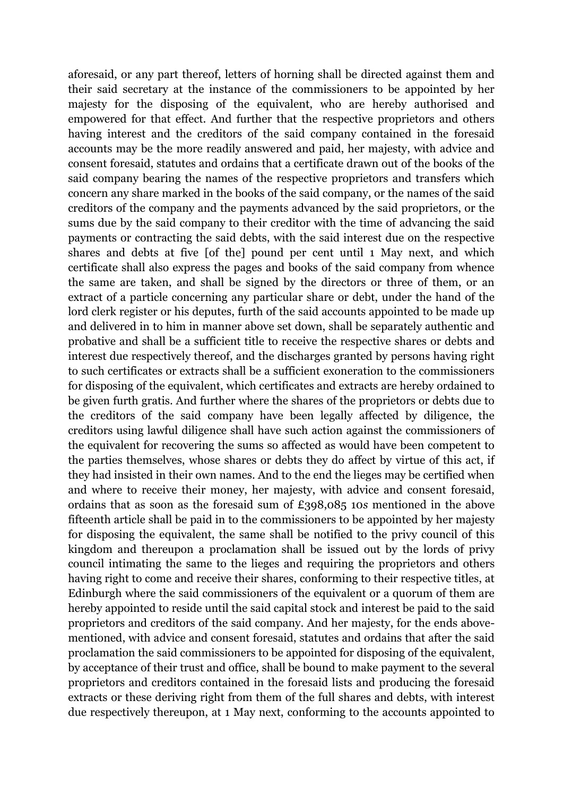aforesaid, or any part thereof, letters of horning shall be directed against them and their said secretary at the instance of the commissioners to be appointed by her majesty for the disposing of the equivalent, who are hereby authorised and empowered for that effect. And further that the respective proprietors and others having interest and the creditors of the said company contained in the foresaid accounts may be the more readily answered and paid, her majesty, with advice and consent foresaid, statutes and ordains that a certificate drawn out of the books of the said company bearing the names of the respective proprietors and transfers which concern any share marked in the books of the said company, or the names of the said creditors of the company and the payments advanced by the said proprietors, or the sums due by the said company to their creditor with the time of advancing the said payments or contracting the said debts, with the said interest due on the respective shares and debts at five [of the] pound per cent until 1 May next, and which certificate shall also express the pages and books of the said company from whence the same are taken, and shall be signed by the directors or three of them, or an extract of a particle concerning any particular share or debt, under the hand of the lord clerk register or his deputes, furth of the said accounts appointed to be made up and delivered in to him in manner above set down, shall be separately authentic and probative and shall be a sufficient title to receive the respective shares or debts and interest due respectively thereof, and the discharges granted by persons having right to such certificates or extracts shall be a sufficient exoneration to the commissioners for disposing of the equivalent, which certificates and extracts are hereby ordained to be given furth gratis. And further where the shares of the proprietors or debts due to the creditors of the said company have been legally affected by diligence, the creditors using lawful diligence shall have such action against the commissioners of the equivalent for recovering the sums so affected as would have been competent to the parties themselves, whose shares or debts they do affect by virtue of this act, if they had insisted in their own names. And to the end the lieges may be certified when and where to receive their money, her majesty, with advice and consent foresaid, ordains that as soon as the foresaid sum of £398,085 10*s* mentioned in the above fifteenth article shall be paid in to the commissioners to be appointed by her majesty for disposing the equivalent, the same shall be notified to the privy council of this kingdom and thereupon a proclamation shall be issued out by the lords of privy council intimating the same to the lieges and requiring the proprietors and others having right to come and receive their shares, conforming to their respective titles, at Edinburgh where the said commissioners of the equivalent or a quorum of them are hereby appointed to reside until the said capital stock and interest be paid to the said proprietors and creditors of the said company. And her majesty, for the ends abovementioned, with advice and consent foresaid, statutes and ordains that after the said proclamation the said commissioners to be appointed for disposing of the equivalent, by acceptance of their trust and office, shall be bound to make payment to the several proprietors and creditors contained in the foresaid lists and producing the foresaid extracts or these deriving right from them of the full shares and debts, with interest due respectively thereupon, at 1 May next, conforming to the accounts appointed to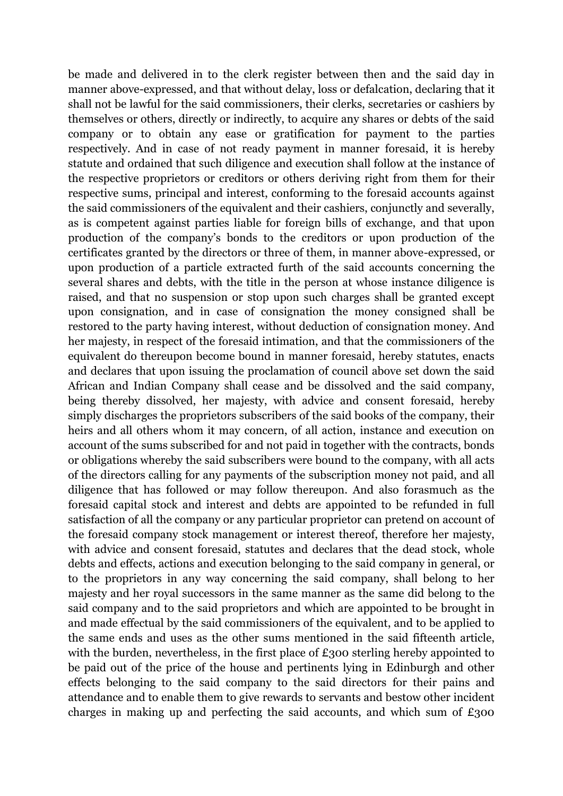be made and delivered in to the clerk register between then and the said day in manner above-expressed, and that without delay, loss or defalcation, declaring that it shall not be lawful for the said commissioners, their clerks, secretaries or cashiers by themselves or others, directly or indirectly, to acquire any shares or debts of the said company or to obtain any ease or gratification for payment to the parties respectively. And in case of not ready payment in manner foresaid, it is hereby statute and ordained that such diligence and execution shall follow at the instance of the respective proprietors or creditors or others deriving right from them for their respective sums, principal and interest, conforming to the foresaid accounts against the said commissioners of the equivalent and their cashiers, conjunctly and severally, as is competent against parties liable for foreign bills of exchange, and that upon production of the company"s bonds to the creditors or upon production of the certificates granted by the directors or three of them, in manner above-expressed, or upon production of a particle extracted furth of the said accounts concerning the several shares and debts, with the title in the person at whose instance diligence is raised, and that no suspension or stop upon such charges shall be granted except upon consignation, and in case of consignation the money consigned shall be restored to the party having interest, without deduction of consignation money. And her majesty, in respect of the foresaid intimation, and that the commissioners of the equivalent do thereupon become bound in manner foresaid, hereby statutes, enacts and declares that upon issuing the proclamation of council above set down the said African and Indian Company shall cease and be dissolved and the said company, being thereby dissolved, her majesty, with advice and consent foresaid, hereby simply discharges the proprietors subscribers of the said books of the company, their heirs and all others whom it may concern, of all action, instance and execution on account of the sums subscribed for and not paid in together with the contracts, bonds or obligations whereby the said subscribers were bound to the company, with all acts of the directors calling for any payments of the subscription money not paid, and all diligence that has followed or may follow thereupon. And also forasmuch as the foresaid capital stock and interest and debts are appointed to be refunded in full satisfaction of all the company or any particular proprietor can pretend on account of the foresaid company stock management or interest thereof, therefore her majesty, with advice and consent foresaid, statutes and declares that the dead stock, whole debts and effects, actions and execution belonging to the said company in general, or to the proprietors in any way concerning the said company, shall belong to her majesty and her royal successors in the same manner as the same did belong to the said company and to the said proprietors and which are appointed to be brought in and made effectual by the said commissioners of the equivalent, and to be applied to the same ends and uses as the other sums mentioned in the said fifteenth article, with the burden, nevertheless, in the first place of £300 sterling hereby appointed to be paid out of the price of the house and pertinents lying in Edinburgh and other effects belonging to the said company to the said directors for their pains and attendance and to enable them to give rewards to servants and bestow other incident charges in making up and perfecting the said accounts, and which sum of  $£300$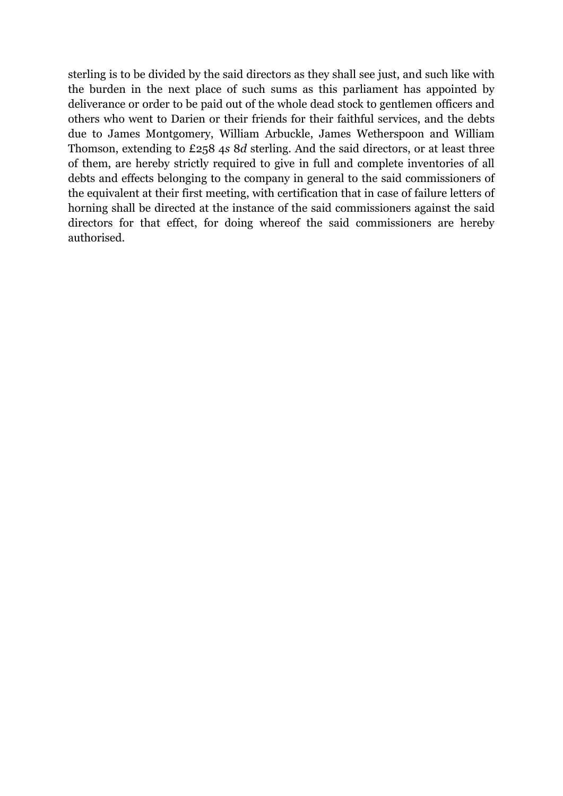sterling is to be divided by the said directors as they shall see just, and such like with the burden in the next place of such sums as this parliament has appointed by deliverance or order to be paid out of the whole dead stock to gentlemen officers and others who went to Darien or their friends for their faithful services, and the debts due to James Montgomery, William Arbuckle, James Wetherspoon and William Thomson, extending to £258 4*s* 8*d* sterling. And the said directors, or at least three of them, are hereby strictly required to give in full and complete inventories of all debts and effects belonging to the company in general to the said commissioners of the equivalent at their first meeting, with certification that in case of failure letters of horning shall be directed at the instance of the said commissioners against the said directors for that effect, for doing whereof the said commissioners are hereby authorised.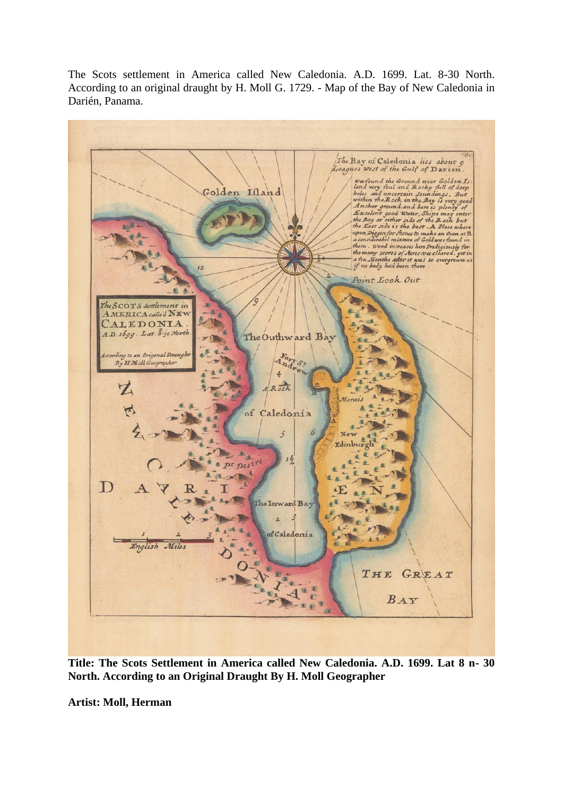The Scots settlement in America called New Caledonia. A.D. 1699. Lat. 8-30 North. According to an original draught by H. Moll G. 1729. - Map of the Bay of New Caledonia in Darién, Panama.



**Title: The Scots Settlement in America called New Caledonia. A.D. 1699. Lat 8 n- 30 North. According to an Original Draught By H. Moll Geographer**

**Artist: Moll, Herman**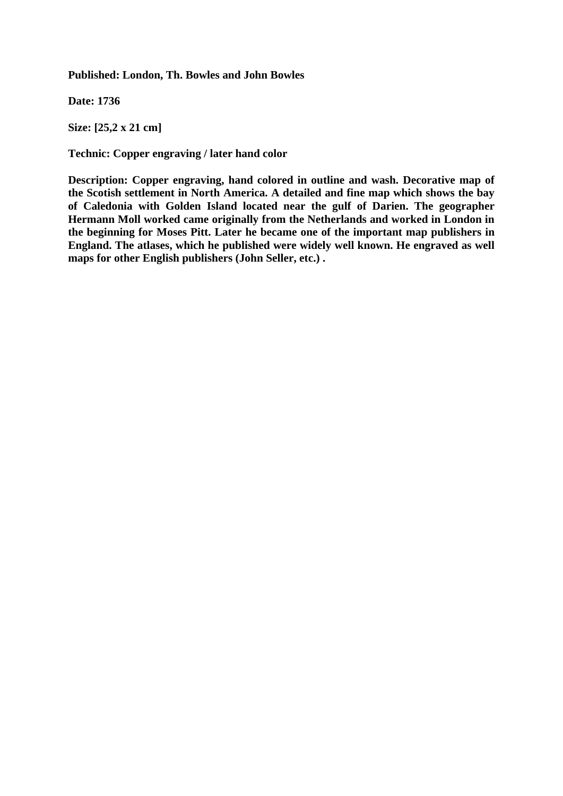**Published: London, Th. Bowles and John Bowles**

**Date: 1736**

**Size: [25,2 x 21 cm]**

**Technic: Copper engraving / later hand color**

**Description: Copper engraving, hand colored in outline and wash. Decorative map of the Scotish settlement in North America. A detailed and fine map which shows the bay of Caledonia with Golden Island located near the gulf of Darien. The geographer Hermann Moll worked came originally from the Netherlands and worked in London in the beginning for Moses Pitt. Later he became one of the important map publishers in England. The atlases, which he published were widely well known. He engraved as well maps for other English publishers (John Seller, etc.) .**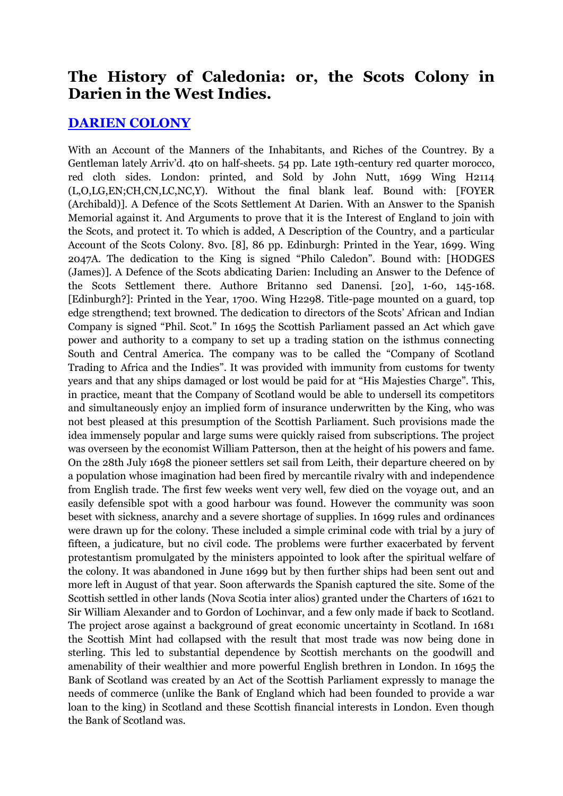## **The History of Caledonia: or, the Scots Colony in Darien in the West Indies.**

## **[DARIEN COLONY](http://www.abebooks.com/servlet/SearchResults?an=DARIEN+COLONY)**

With an Account of the Manners of the Inhabitants, and Riches of the Countrey. By a Gentleman lately Arriv'd. 4to on half-sheets. 54 pp. Late 19th-century red quarter morocco, red cloth sides. London: printed, and Sold by John Nutt, 1699 Wing H2114 (L,O,LG,EN;CH,CN,LC,NC,Y). Without the final blank leaf. Bound with: [FOYER (Archibald)]. A Defence of the Scots Settlement At Darien. With an Answer to the Spanish Memorial against it. And Arguments to prove that it is the Interest of England to join with the Scots, and protect it. To which is added, A Description of the Country, and a particular Account of the Scots Colony. 8vo. [8], 86 pp. Edinburgh: Printed in the Year, 1699. Wing 2047A. The dedication to the King is signed "Philo Caledon". Bound with: [HODGES (James)]. A Defence of the Scots abdicating Darien: Including an Answer to the Defence of the Scots Settlement there. Authore Britanno sed Danensi. [20], 1-60, 145-168. [Edinburgh?]: Printed in the Year, 1700. Wing H2298. Title-page mounted on a guard, top edge strengthend; text browned. The dedication to directors of the Scots" African and Indian Company is signed "Phil. Scot." In 1695 the Scottish Parliament passed an Act which gave power and authority to a company to set up a trading station on the isthmus connecting South and Central America. The company was to be called the "Company of Scotland Trading to Africa and the Indies". It was provided with immunity from customs for twenty years and that any ships damaged or lost would be paid for at "His Majesties Charge". This, in practice, meant that the Company of Scotland would be able to undersell its competitors and simultaneously enjoy an implied form of insurance underwritten by the King, who was not best pleased at this presumption of the Scottish Parliament. Such provisions made the idea immensely popular and large sums were quickly raised from subscriptions. The project was overseen by the economist William Patterson, then at the height of his powers and fame. On the 28th July 1698 the pioneer settlers set sail from Leith, their departure cheered on by a population whose imagination had been fired by mercantile rivalry with and independence from English trade. The first few weeks went very well, few died on the voyage out, and an easily defensible spot with a good harbour was found. However the community was soon beset with sickness, anarchy and a severe shortage of supplies. In 1699 rules and ordinances were drawn up for the colony. These included a simple criminal code with trial by a jury of fifteen, a judicature, but no civil code. The problems were further exacerbated by fervent protestantism promulgated by the ministers appointed to look after the spiritual welfare of the colony. It was abandoned in June 1699 but by then further ships had been sent out and more left in August of that year. Soon afterwards the Spanish captured the site. Some of the Scottish settled in other lands (Nova Scotia inter alios) granted under the Charters of 1621 to Sir William Alexander and to Gordon of Lochinvar, and a few only made if back to Scotland. The project arose against a background of great economic uncertainty in Scotland. In 1681 the Scottish Mint had collapsed with the result that most trade was now being done in sterling. This led to substantial dependence by Scottish merchants on the goodwill and amenability of their wealthier and more powerful English brethren in London. In 1695 the Bank of Scotland was created by an Act of the Scottish Parliament expressly to manage the needs of commerce (unlike the Bank of England which had been founded to provide a war loan to the king) in Scotland and these Scottish financial interests in London. Even though the Bank of Scotland was.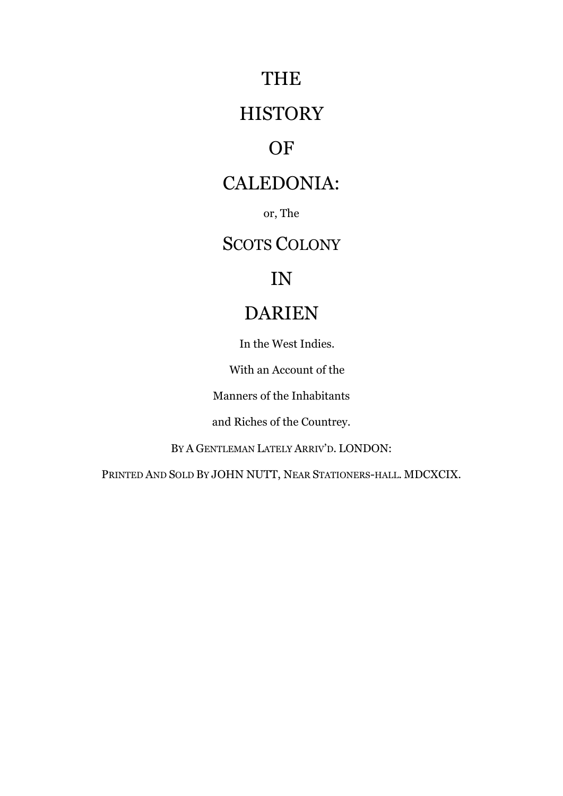# THE

# **HISTORY**

# OF

# CALEDONIA:

or, The

# SCOTS COLONY

# IN

# DARIEN

In the West Indies.

With an Account of the

Manners of the Inhabitants

and Riches of the Countrey.

BY A GENTLEMAN LATELY ARRIV"D. LONDON:

PRINTED AND SOLD BY JOHN NUTT, NEAR STATIONERS-HALL. MDCXCIX.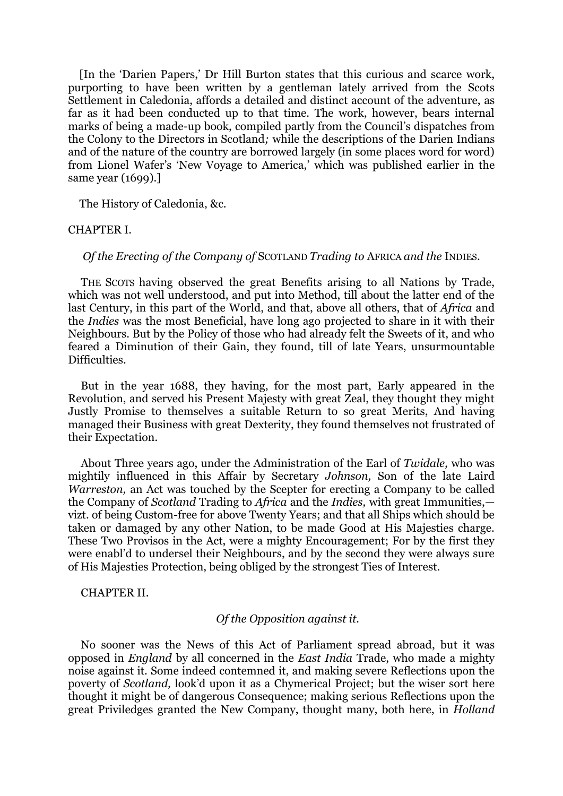[In the "Darien Papers," Dr Hill Burton states that this curious and scarce work, purporting to have been written by a gentleman lately arrived from the Scots Settlement in Caledonia, affords a detailed and distinct account of the adventure, as far as it had been conducted up to that time. The work, however, bears internal marks of being a made-up book, compiled partly from the Council's dispatches from the Colony to the Directors in Scotland*;* while the descriptions of the Darien Indians and of the nature of the country are borrowed largely (in some places word for word) from Lionel Wafer"s "New Voyage to America," which was published earlier in the same year (1699).]

The History of Caledonia, &c.

#### CHAPTER I.

#### *Of the Erecting of the Company of* SCOTLAND *Trading to* AFRICA *and the* INDIES.

THE SCOTS having observed the great Benefits arising to all Nations by Trade, which was not well understood, and put into Method, till about the latter end of the last Century, in this part of the World, and that, above all others, that of *Africa* and the *Indies* was the most Beneficial, have long ago projected to share in it with their Neighbours. But by the Policy of those who had already felt the Sweets of it, and who feared a Diminution of their Gain, they found, till of late Years, unsurmountable Difficulties.

But in the year 1688, they having, for the most part, Early appeared in the Revolution, and served his Present Majesty with great Zeal, they thought they might Justly Promise to themselves a suitable Return to so great Merits, And having managed their Business with great Dexterity, they found themselves not frustrated of their Expectation.

About Three years ago, under the Administration of the Earl of *Twidale,* who was mightily influenced in this Affair by Secretary *Johnson,* Son of the late Laird *Warreston,* an Act was touched by the Scepter for erecting a Company to be called the Company of *Scotland* Trading to *Africa* and the *Indies,* with great Immunities, vizt. of being Custom-free for above Twenty Years; and that all Ships which should be taken or damaged by any other Nation, to be made Good at His Majesties charge. These Two Provisos in the Act, were a mighty Encouragement; For by the first they were enabl"d to undersel their Neighbours, and by the second they were always sure of His Majesties Protection, being obliged by the strongest Ties of Interest.

#### CHAPTER II.

### *Of the Opposition against it.*

No sooner was the News of this Act of Parliament spread abroad, but it was opposed in *England* by all concerned in the *East India* Trade, who made a mighty noise against it. Some indeed contemned it, and making severe Reflections upon the poverty of *Scotland,* look"d upon it as a Chymerical Project; but the wiser sort here thought it might be of dangerous Consequence; making serious Reflections upon the great Priviledges granted the New Company, thought many, both here, in *Holland*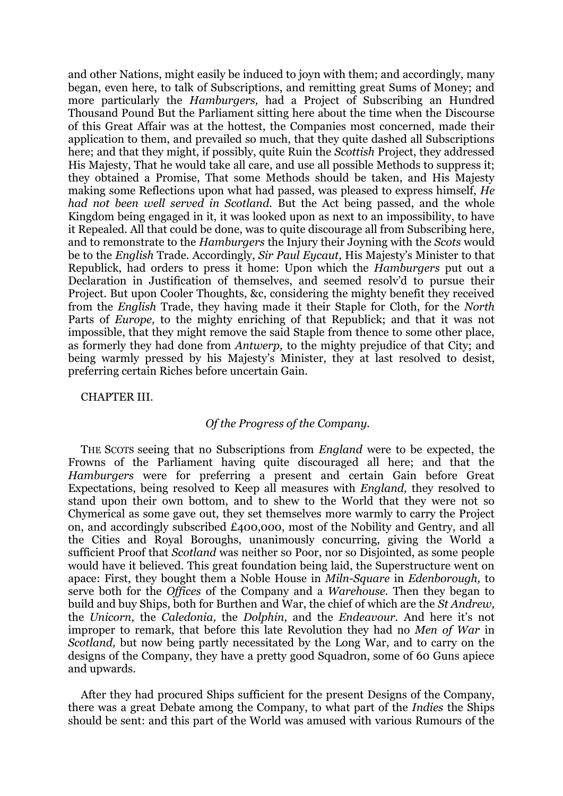and other Nations, might easily be induced to joyn with them; and accordingly, many began, even here, to talk of Subscriptions, and remitting great Sums of Money; and more particularly the *Hamburgers,* had a Project of Subscribing an Hundred Thousand Pound But the Parliament sitting here about the time when the Discourse of this Great Affair was at the hottest, the Companies most concerned, made their application to them, and prevailed so much, that they quite dashed all Subscriptions here; and that they might, if possibly, quite Ruin the *Scottish* Project, they addressed His Majesty, That he would take all care, and use all possible Methods to suppress it; they obtained a Promise, That some Methods should be taken, and His Majesty making some Reflections upon what had passed, was pleased to express himself, *He had not been well served in Scotland.* But the Act being passed, and the whole Kingdom being engaged in it, it was looked upon as next to an impossibility, to have it Repealed. All that could be done, was to quite discourage all from Subscribing here, and to remonstrate to the *Hamburgers* the Injury their Joyning with the *Scots* would be to the *English* Trade. Accordingly, *Sir Paul Eycaut,* His Majesty"s Minister to that Republick, had orders to press it home: Upon which the *Hamburgers* put out a Declaration in Justification of themselves, and seemed resolv"d to pursue their Project. But upon Cooler Thoughts, &c, considering the mighty benefit they received from the *English* Trade, they having made it their Staple for Cloth, for the *North*  Parts of *Europe,* to the mighty enriching of that Republick; and that it was not impossible, that they might remove the said Staple from thence to some other place, as formerly they had done from *Antwerp,* to the mighty prejudice of that City; and being warmly pressed by his Majesty"s Minister, they at last resolved to desist, preferring certain Riches before uncertain Gain.

#### CHAPTER III.

### *Of the Progress of the Company.*

THE SCOTS seeing that no Subscriptions from *England* were to be expected, the Frowns of the Parliament having quite discouraged all here; and that the *Hamburgers* were for preferring a present and certain Gain before Great Expectations, being resolved to Keep all measures with *England,* they resolved to stand upon their own bottom, and to shew to the World that they were not so Chymerical as some gave out, they set themselves more warmly to carry the Project on, and accordingly subscribed £400,000, most of the Nobility and Gentry, and all the Cities and Royal Boroughs, unanimously concurring, giving the World a sufficient Proof that *Scotland* was neither so Poor, nor so Disjointed, as some people would have it believed. This great foundation being laid, the Superstructure went on apace: First, they bought them a Noble House in *Miln-Square* in *Edenborough,* to serve both for the *Offices* of the Company and a *Warehouse.* Then they began to build and buy Ships, both for Burthen and War, the chief of which are the *St Andrew,*  the *Unicorn*, the *Caledonia*, the *Dolphin*, and the *Endeavour*. And here it's not improper to remark, that before this late Revolution they had no *Men of War* in *Scotland,* but now being partly necessitated by the Long War, and to carry on the designs of the Company, they have a pretty good Squadron, some of 60 Guns apiece and upwards.

After they had procured Ships sufficient for the present Designs of the Company, there was a great Debate among the Company, to what part of the *Indies* the Ships should be sent: and this part of the World was amused with various Rumours of the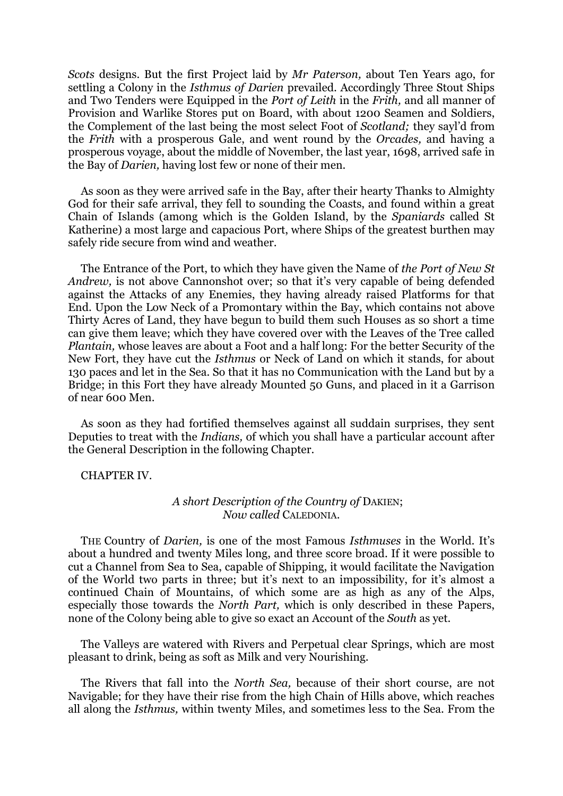*Scots* designs. But the first Project laid by *Mr Paterson,* about Ten Years ago, for settling a Colony in the *Isthmus of Darien* prevailed. Accordingly Three Stout Ships and Two Tenders were Equipped in the *Port of Leith* in the *Frith,* and all manner of Provision and Warlike Stores put on Board, with about 1200 Seamen and Soldiers, the Complement of the last being the most select Foot of *Scotland;* they sayl"d from the *Frith* with a prosperous Gale, and went round by the *Orcades,* and having a prosperous voyage, about the middle of November, the last year, 1698, arrived safe in the Bay of *Darien,* having lost few or none of their men.

As soon as they were arrived safe in the Bay, after their hearty Thanks to Almighty God for their safe arrival, they fell to sounding the Coasts, and found within a great Chain of Islands (among which is the Golden Island, by the *Spaniards* called St Katherine) a most large and capacious Port, where Ships of the greatest burthen may safely ride secure from wind and weather.

The Entrance of the Port, to which they have given the Name of *the Port of New St Andrew*, is not above Cannonshot over; so that it's very capable of being defended against the Attacks of any Enemies, they having already raised Platforms for that End. Upon the Low Neck of a Promontary within the Bay, which contains not above Thirty Acres of Land, they have begun to build them such Houses as so short a time can give them leave; which they have covered over with the Leaves of the Tree called *Plantain,* whose leaves are about a Foot and a half long: For the better Security of the New Fort, they have cut the *Isthmus* or Neck of Land on which it stands, for about 130 paces and let in the Sea. So that it has no Communication with the Land but by a Bridge; in this Fort they have already Mounted 50 Guns, and placed in it a Garrison of near 600 Men.

As soon as they had fortified themselves against all suddain surprises, they sent Deputies to treat with the *Indians,* of which you shall have a particular account after the General Description in the following Chapter.

#### CHAPTER IV.

### *A short Description of the Country of* DAKIEN; *Now called* CALEDONIA.

THE Country of *Darien,* is one of the most Famous *Isthmuses* in the World. It"s about a hundred and twenty Miles long, and three score broad. If it were possible to cut a Channel from Sea to Sea, capable of Shipping, it would facilitate the Navigation of the World two parts in three; but it's next to an impossibility, for it's almost a continued Chain of Mountains, of which some are as high as any of the Alps, especially those towards the *North Part,* which is only described in these Papers, none of the Colony being able to give so exact an Account of the *South* as yet.

The Valleys are watered with Rivers and Perpetual clear Springs, which are most pleasant to drink, being as soft as Milk and very Nourishing.

The Rivers that fall into the *North Sea,* because of their short course, are not Navigable; for they have their rise from the high Chain of Hills above, which reaches all along the *Isthmus,* within twenty Miles, and sometimes less to the Sea. From the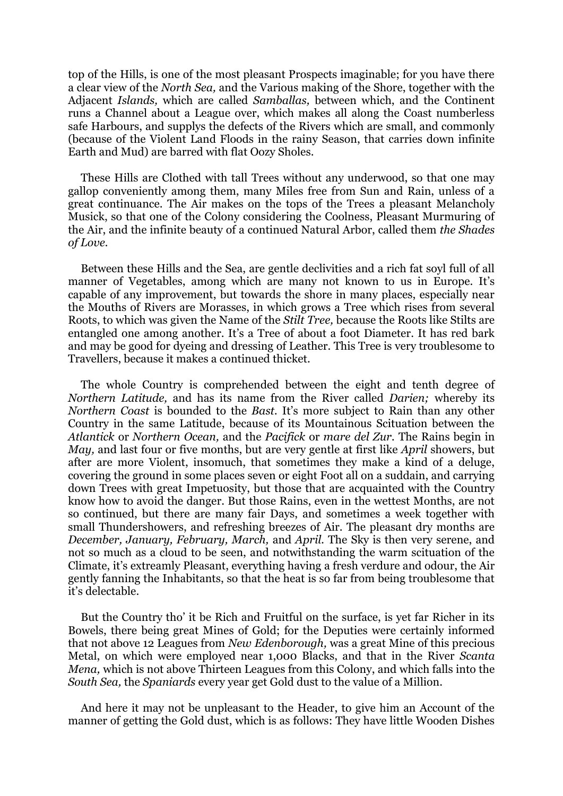top of the Hills, is one of the most pleasant Prospects imaginable; for you have there a clear view of the *North Sea,* and the Various making of the Shore, together with the Adjacent *Islands,* which are called *Samballas,* between which, and the Continent runs a Channel about a League over, which makes all along the Coast numberless safe Harbours, and supplys the defects of the Rivers which are small, and commonly (because of the Violent Land Floods in the rainy Season, that carries down infinite Earth and Mud) are barred with flat Oozy Sholes.

These Hills are Clothed with tall Trees without any underwood, so that one may gallop conveniently among them, many Miles free from Sun and Rain, unless of a great continuance. The Air makes on the tops of the Trees a pleasant Melancholy Musick, so that one of the Colony considering the Coolness, Pleasant Murmuring of the Air, and the infinite beauty of a continued Natural Arbor, called them *the Shades of Love.*

Between these Hills and the Sea, are gentle declivities and a rich fat soyl full of all manner of Vegetables, among which are many not known to us in Europe. It's capable of any improvement, but towards the shore in many places, especially near the Mouths of Rivers are Morasses, in which grows a Tree which rises from several Roots, to which was given the Name of the *Stilt Tree,* because the Roots like Stilts are entangled one among another. It's a Tree of about a foot Diameter. It has red bark and may be good for dyeing and dressing of Leather. This Tree is very troublesome to Travellers, because it makes a continued thicket.

The whole Country is comprehended between the eight and tenth degree of *Northern Latitude,* and has its name from the River called *Darien;* whereby its *Northern Coast* is bounded to the *Bast*. It's more subject to Rain than any other Country in the same Latitude, because of its Mountainous Scituation between the *Atlantick* or *Northern Ocean,* and the *Pacifick* or *mare del Zur.* The Rains begin in *May,* and last four or five months, but are very gentle at first like *April* showers, but after are more Violent, insomuch, that sometimes they make a kind of a deluge, covering the ground in some places seven or eight Foot all on a suddain, and carrying down Trees with great Impetuosity, but those that are acquainted with the Country know how to avoid the danger. But those Rains, even in the wettest Months, are not so continued, but there are many fair Days, and sometimes a week together with small Thundershowers, and refreshing breezes of Air. The pleasant dry months are *December, January, February, March,* and *April.* The Sky is then very serene, and not so much as a cloud to be seen, and notwithstanding the warm scituation of the Climate, it's extreamly Pleasant, everything having a fresh verdure and odour, the Air gently fanning the Inhabitants, so that the heat is so far from being troublesome that it"s delectable.

But the Country tho' it be Rich and Fruitful on the surface, is yet far Richer in its Bowels, there being great Mines of Gold; for the Deputies were certainly informed that not above 12 Leagues from *New Edenborough,* was a great Mine of this precious Metal, on which were employed near 1,000 Blacks, and that in the River *Scanta Mena,* which is not above Thirteen Leagues from this Colony, and which falls into the *South Sea,* the *Spaniards* every year get Gold dust to the value of a Million.

And here it may not be unpleasant to the Header, to give him an Account of the manner of getting the Gold dust, which is as follows: They have little Wooden Dishes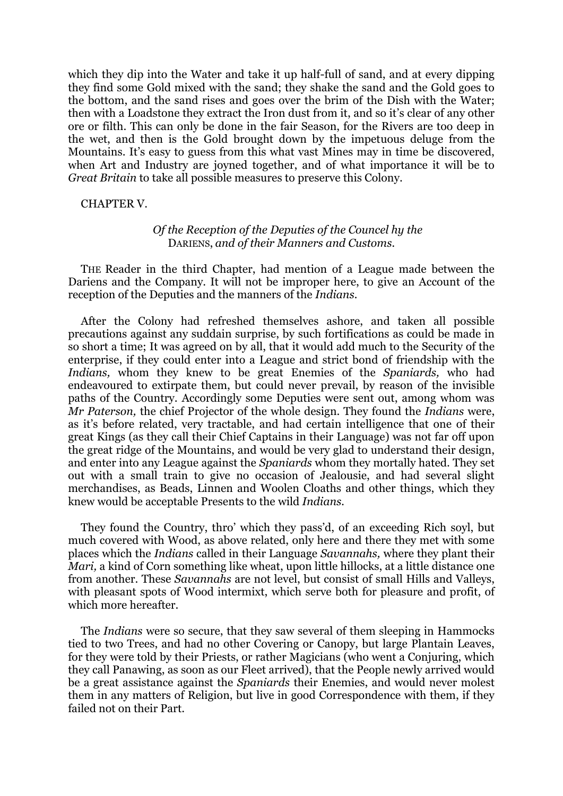which they dip into the Water and take it up half-full of sand, and at every dipping they find some Gold mixed with the sand; they shake the sand and the Gold goes to the bottom, and the sand rises and goes over the brim of the Dish with the Water; then with a Loadstone they extract the Iron dust from it, and so it's clear of any other ore or filth. This can only be done in the fair Season, for the Rivers are too deep in the wet, and then is the Gold brought down by the impetuous deluge from the Mountains. It's easy to guess from this what vast Mines may in time be discovered, when Art and Industry are joyned together, and of what importance it will be to *Great Britain* to take all possible measures to preserve this Colony.

CHAPTER V.

### *Of the Reception of the Deputies of the Councel hy the* DARIENS, *and of their Manners and Customs.*

THE Reader in the third Chapter, had mention of a League made between the Dariens and the Company. It will not be improper here, to give an Account of the reception of the Deputies and the manners of the *Indians.*

After the Colony had refreshed themselves ashore, and taken all possible precautions against any suddain surprise, by such fortifications as could be made in so short a time; It was agreed on by all, that it would add much to the Security of the enterprise, if they could enter into a League and strict bond of friendship with the *Indians,* whom they knew to be great Enemies of the *Spaniards,* who had endeavoured to extirpate them, but could never prevail, by reason of the invisible paths of the Country. Accordingly some Deputies were sent out, among whom was *Mr Paterson,* the chief Projector of the whole design. They found the *Indians* were, as it"s before related, very tractable, and had certain intelligence that one of their great Kings (as they call their Chief Captains in their Language) was not far off upon the great ridge of the Mountains, and would be very glad to understand their design, and enter into any League against the *Spaniards* whom they mortally hated. They set out with a small train to give no occasion of Jealousie, and had several slight merchandises, as Beads, Linnen and Woolen Cloaths and other things, which they knew would be acceptable Presents to the wild *Indians.*

They found the Country, thro' which they pass'd, of an exceeding Rich soyl, but much covered with Wood, as above related, only here and there they met with some places which the *Indians* called in their Language *Savannahs,* where they plant their *Mari*, a kind of Corn something like wheat, upon little hillocks, at a little distance one from another. These *Savannahs* are not level, but consist of small Hills and Valleys, with pleasant spots of Wood intermixt, which serve both for pleasure and profit, of which more hereafter.

The *Indians* were so secure, that they saw several of them sleeping in Hammocks tied to two Trees, and had no other Covering or Canopy, but large Plantain Leaves, for they were told by their Priests, or rather Magicians (who went a Conjuring, which they call Panawing, as soon as our Fleet arrived), that the People newly arrived would be a great assistance against the *Spaniards* their Enemies, and would never molest them in any matters of Religion, but live in good Correspondence with them, if they failed not on their Part.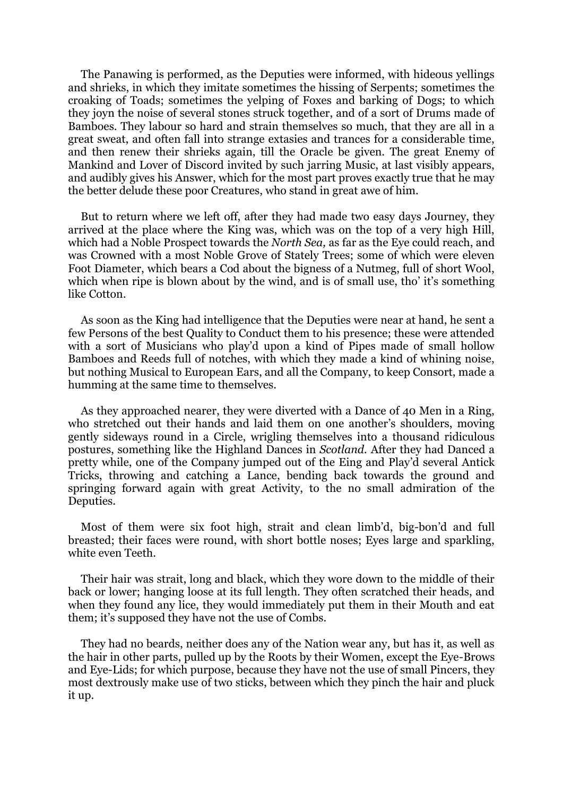The Panawing is performed, as the Deputies were informed, with hideous yellings and shrieks, in which they imitate sometimes the hissing of Serpents; sometimes the croaking of Toads; sometimes the yelping of Foxes and barking of Dogs; to which they joyn the noise of several stones struck together, and of a sort of Drums made of Bamboes. They labour so hard and strain themselves so much, that they are all in a great sweat, and often fall into strange extasies and trances for a considerable time, and then renew their shrieks again, till the Oracle be given. The great Enemy of Mankind and Lover of Discord invited by such jarring Music, at last visibly appears, and audibly gives his Answer, which for the most part proves exactly true that he may the better delude these poor Creatures, who stand in great awe of him.

But to return where we left off, after they had made two easy days Journey, they arrived at the place where the King was, which was on the top of a very high Hill, which had a Noble Prospect towards the *North Sea,* as far as the Eye could reach, and was Crowned with a most Noble Grove of Stately Trees; some of which were eleven Foot Diameter, which bears a Cod about the bigness of a Nutmeg, full of short Wool, which when ripe is blown about by the wind, and is of small use, tho' it's something like Cotton.

As soon as the King had intelligence that the Deputies were near at hand, he sent a few Persons of the best Quality to Conduct them to his presence; these were attended with a sort of Musicians who play'd upon a kind of Pipes made of small hollow Bamboes and Reeds full of notches, with which they made a kind of whining noise, but nothing Musical to European Ears, and all the Company, to keep Consort, made a humming at the same time to themselves.

As they approached nearer, they were diverted with a Dance of 40 Men in a Ring, who stretched out their hands and laid them on one another's shoulders, moving gently sideways round in a Circle, wrigling themselves into a thousand ridiculous postures, something like the Highland Dances in *Scotland.* After they had Danced a pretty while, one of the Company jumped out of the Eing and Play"d several Antick Tricks, throwing and catching a Lance, bending back towards the ground and springing forward again with great Activity, to the no small admiration of the Deputies.

Most of them were six foot high, strait and clean limb"d, big-bon"d and full breasted; their faces were round, with short bottle noses; Eyes large and sparkling, white even Teeth.

Their hair was strait, long and black, which they wore down to the middle of their back or lower; hanging loose at its full length. They often scratched their heads, and when they found any lice, they would immediately put them in their Mouth and eat them; it's supposed they have not the use of Combs.

They had no beards, neither does any of the Nation wear any, but has it, as well as the hair in other parts, pulled up by the Roots by their Women, except the Eye-Brows and Eye-Lids; for which purpose, because they have not the use of small Pincers, they most dextrously make use of two sticks, between which they pinch the hair and pluck it up.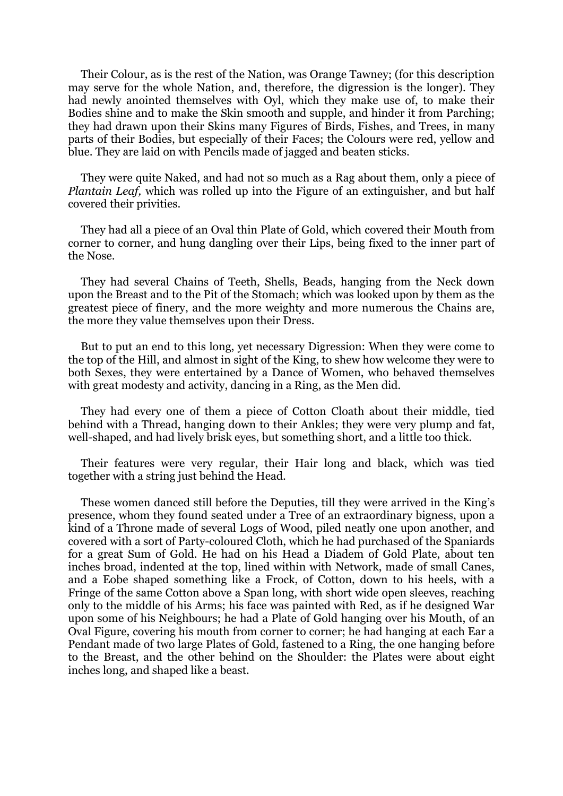Their Colour, as is the rest of the Nation, was Orange Tawney; (for this description may serve for the whole Nation, and, therefore, the digression is the longer). They had newly anointed themselves with Oyl, which they make use of, to make their Bodies shine and to make the Skin smooth and supple, and hinder it from Parching; they had drawn upon their Skins many Figures of Birds, Fishes, and Trees, in many parts of their Bodies, but especially of their Faces; the Colours were red, yellow and blue. They are laid on with Pencils made of jagged and beaten sticks.

They were quite Naked, and had not so much as a Rag about them, only a piece of *Plantain Leaf,* which was rolled up into the Figure of an extinguisher, and but half covered their privities.

They had all a piece of an Oval thin Plate of Gold, which covered their Mouth from corner to corner, and hung dangling over their Lips, being fixed to the inner part of the Nose.

They had several Chains of Teeth, Shells, Beads, hanging from the Neck down upon the Breast and to the Pit of the Stomach; which was looked upon by them as the greatest piece of finery, and the more weighty and more numerous the Chains are, the more they value themselves upon their Dress.

But to put an end to this long, yet necessary Digression: When they were come to the top of the Hill, and almost in sight of the King, to shew how welcome they were to both Sexes, they were entertained by a Dance of Women, who behaved themselves with great modesty and activity, dancing in a Ring, as the Men did.

They had every one of them a piece of Cotton Cloath about their middle, tied behind with a Thread, hanging down to their Ankles; they were very plump and fat, well-shaped, and had lively brisk eyes, but something short, and a little too thick.

Their features were very regular, their Hair long and black, which was tied together with a string just behind the Head.

These women danced still before the Deputies, till they were arrived in the King"s presence, whom they found seated under a Tree of an extraordinary bigness, upon a kind of a Throne made of several Logs of Wood, piled neatly one upon another, and covered with a sort of Party-coloured Cloth, which he had purchased of the Spaniards for a great Sum of Gold. He had on his Head a Diadem of Gold Plate, about ten inches broad, indented at the top, lined within with Network, made of small Canes, and a Eobe shaped something like a Frock, of Cotton, down to his heels, with a Fringe of the same Cotton above a Span long, with short wide open sleeves, reaching only to the middle of his Arms; his face was painted with Red, as if he designed War upon some of his Neighbours; he had a Plate of Gold hanging over his Mouth, of an Oval Figure, covering his mouth from corner to corner; he had hanging at each Ear a Pendant made of two large Plates of Gold, fastened to a Ring, the one hanging before to the Breast, and the other behind on the Shoulder: the Plates were about eight inches long, and shaped like a beast.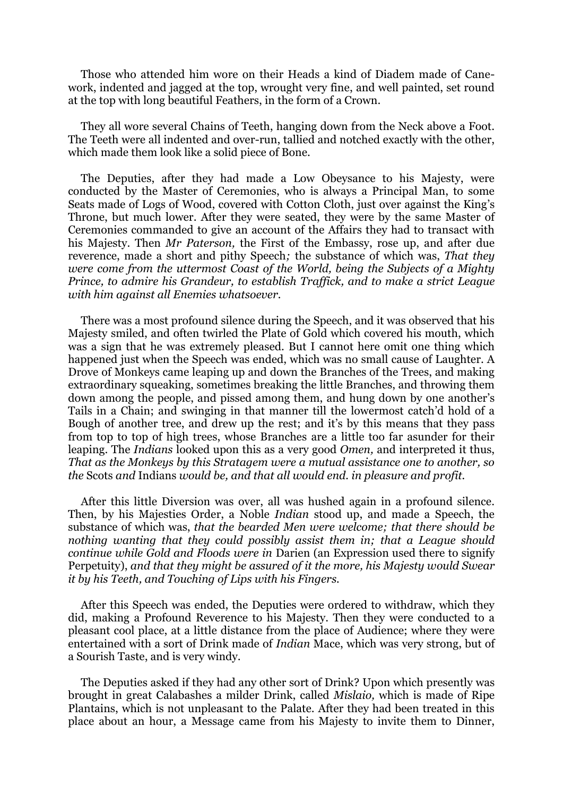Those who attended him wore on their Heads a kind of Diadem made of Canework, indented and jagged at the top, wrought very fine, and well painted, set round at the top with long beautiful Feathers, in the form of a Crown.

They all wore several Chains of Teeth, hanging down from the Neck above a Foot. The Teeth were all indented and over-run, tallied and notched exactly with the other, which made them look like a solid piece of Bone.

The Deputies, after they had made a Low Obeysance to his Majesty, were conducted by the Master of Ceremonies, who is always a Principal Man, to some Seats made of Logs of Wood, covered with Cotton Cloth, just over against the King"s Throne, but much lower. After they were seated, they were by the same Master of Ceremonies commanded to give an account of the Affairs they had to transact with his Majesty. Then *Mr Paterson,* the First of the Embassy, rose up, and after due reverence, made a short and pithy Speech*;* the substance of which was, *That they were come from the uttermost Coast of the World, being the Subjects of a Mighty Prince, to admire his Grandeur, to establish Traffick, and to make a strict League with him against all Enemies whatsoever.*

There was a most profound silence during the Speech, and it was observed that his Majesty smiled, and often twirled the Plate of Gold which covered his mouth, which was a sign that he was extremely pleased. But I cannot here omit one thing which happened just when the Speech was ended, which was no small cause of Laughter. A Drove of Monkeys came leaping up and down the Branches of the Trees, and making extraordinary squeaking, sometimes breaking the little Branches, and throwing them down among the people, and pissed among them, and hung down by one another's Tails in a Chain; and swinging in that manner till the lowermost catch"d hold of a Bough of another tree, and drew up the rest; and it's by this means that they pass from top to top of high trees, whose Branches are a little too far asunder for their leaping. The *Indians* looked upon this as a very good *Omen,* and interpreted it thus, *That as the Monkeys by this Stratagem were a mutual assistance one to another, so the* Scots *and* Indians *would be, and that all would end. in pleasure and profit.*

After this little Diversion was over, all was hushed again in a profound silence. Then, by his Majesties Order, a Noble *Indian* stood up, and made a Speech, the substance of which was, *that the bearded Men were welcome; that there should be nothing wanting that they could possibly assist them in; that a League should continue while Gold and Floods were in* Darien (an Expression used there to signify Perpetuity), *and that they might be assured of it the more, his Majesty would Swear it by his Teeth, and Touching of Lips with his Fingers.*

After this Speech was ended, the Deputies were ordered to withdraw, which they did, making a Profound Reverence to his Majesty. Then they were conducted to a pleasant cool place, at a little distance from the place of Audience; where they were entertained with a sort of Drink made of *Indian* Mace, which was very strong, but of a Sourish Taste, and is very windy.

The Deputies asked if they had any other sort of Drink? Upon which presently was brought in great Calabashes a milder Drink, called *Mislaio,* which is made of Ripe Plantains, which is not unpleasant to the Palate. After they had been treated in this place about an hour, a Message came from his Majesty to invite them to Dinner,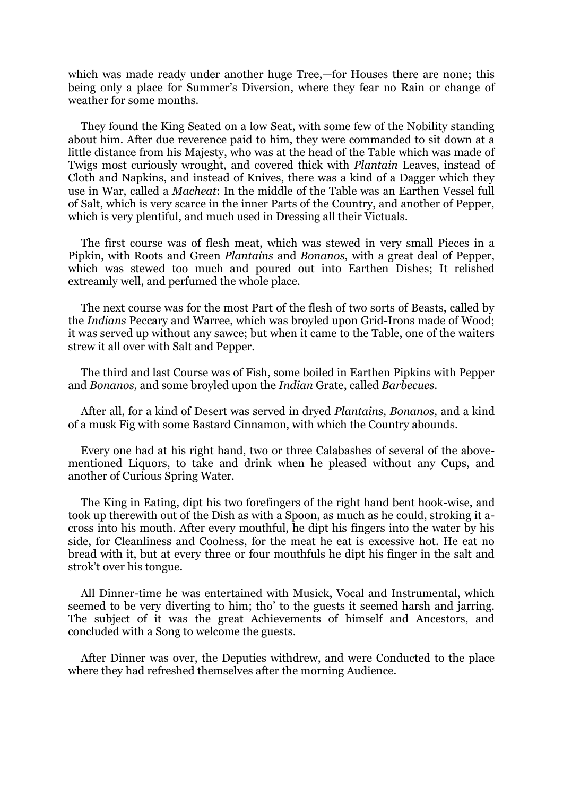which was made ready under another huge Tree,—for Houses there are none; this being only a place for Summer's Diversion, where they fear no Rain or change of weather for some months.

They found the King Seated on a low Seat, with some few of the Nobility standing about him. After due reverence paid to him, they were commanded to sit down at a little distance from his Majesty, who was at the head of the Table which was made of Twigs most curiously wrought, and covered thick with *Plantain* Leaves, instead of Cloth and Napkins, and instead of Knives, there was a kind of a Dagger which they use in War, called a *Macheat*: In the middle of the Table was an Earthen Vessel full of Salt, which is very scarce in the inner Parts of the Country, and another of Pepper, which is very plentiful, and much used in Dressing all their Victuals.

The first course was of flesh meat, which was stewed in very small Pieces in a Pipkin, with Roots and Green *Plantains* and *Bonanos,* with a great deal of Pepper, which was stewed too much and poured out into Earthen Dishes; It relished extreamly well, and perfumed the whole place.

The next course was for the most Part of the flesh of two sorts of Beasts, called by the *Indians* Peccary and Warree, which was broyled upon Grid-Irons made of Wood; it was served up without any sawce; but when it came to the Table, one of the waiters strew it all over with Salt and Pepper.

The third and last Course was of Fish, some boiled in Earthen Pipkins with Pepper and *Bonanos,* and some broyled upon the *Indian* Grate, called *Barbecues.*

After all, for a kind of Desert was served in dryed *Plantains, Bonanos,* and a kind of a musk Fig with some Bastard Cinnamon, with which the Country abounds.

Every one had at his right hand, two or three Calabashes of several of the abovementioned Liquors, to take and drink when he pleased without any Cups, and another of Curious Spring Water.

The King in Eating, dipt his two forefingers of the right hand bent hook-wise, and took up therewith out of the Dish as with a Spoon, as much as he could, stroking it across into his mouth. After every mouthful, he dipt his fingers into the water by his side, for Cleanliness and Coolness, for the meat he eat is excessive hot. He eat no bread with it, but at every three or four mouthfuls he dipt his finger in the salt and strok"t over his tongue.

All Dinner-time he was entertained with Musick, Vocal and Instrumental, which seemed to be very diverting to him; tho' to the guests it seemed harsh and jarring. The subject of it was the great Achievements of himself and Ancestors, and concluded with a Song to welcome the guests.

After Dinner was over, the Deputies withdrew, and were Conducted to the place where they had refreshed themselves after the morning Audience.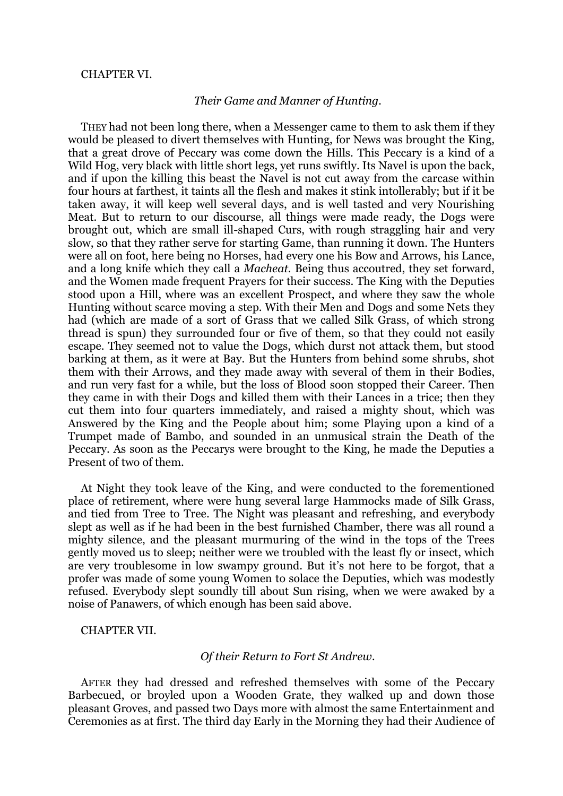#### CHAPTER VI.

#### *Their Game and Manner of Hunting.*

THEY had not been long there, when a Messenger came to them to ask them if they would be pleased to divert themselves with Hunting, for News was brought the King, that a great drove of Peccary was come down the Hills. This Peccary is a kind of a Wild Hog, very black with little short legs, yet runs swiftly. Its Navel is upon the back, and if upon the killing this beast the Navel is not cut away from the carcase within four hours at farthest, it taints all the flesh and makes it stink intollerably; but if it be taken away, it will keep well several days, and is well tasted and very Nourishing Meat. But to return to our discourse, all things were made ready, the Dogs were brought out, which are small ill-shaped Curs, with rough straggling hair and very slow, so that they rather serve for starting Game, than running it down. The Hunters were all on foot, here being no Horses, had every one his Bow and Arrows, his Lance, and a long knife which they call a *Macheat.* Being thus accoutred, they set forward, and the Women made frequent Prayers for their success. The King with the Deputies stood upon a Hill, where was an excellent Prospect, and where they saw the whole Hunting without scarce moving a step. With their Men and Dogs and some Nets they had (which are made of a sort of Grass that we called Silk Grass, of which strong thread is spun) they surrounded four or five of them, so that they could not easily escape. They seemed not to value the Dogs, which durst not attack them, but stood barking at them, as it were at Bay. But the Hunters from behind some shrubs, shot them with their Arrows, and they made away with several of them in their Bodies, and run very fast for a while, but the loss of Blood soon stopped their Career. Then they came in with their Dogs and killed them with their Lances in a trice; then they cut them into four quarters immediately, and raised a mighty shout, which was Answered by the King and the People about him; some Playing upon a kind of a Trumpet made of Bambo, and sounded in an unmusical strain the Death of the Peccary. As soon as the Peccarys were brought to the King, he made the Deputies a Present of two of them.

At Night they took leave of the King, and were conducted to the forementioned place of retirement, where were hung several large Hammocks made of Silk Grass, and tied from Tree to Tree. The Night was pleasant and refreshing, and everybody slept as well as if he had been in the best furnished Chamber, there was all round a mighty silence, and the pleasant murmuring of the wind in the tops of the Trees gently moved us to sleep; neither were we troubled with the least fly or insect, which are very troublesome in low swampy ground. But it's not here to be forgot, that a profer was made of some young Women to solace the Deputies, which was modestly refused. Everybody slept soundly till about Sun rising, when we were awaked by a noise of Panawers, of which enough has been said above.

CHAPTER VII.

#### *Of their Return to Fort St Andrew.*

AFTER they had dressed and refreshed themselves with some of the Peccary Barbecued, or broyled upon a Wooden Grate, they walked up and down those pleasant Groves, and passed two Days more with almost the same Entertainment and Ceremonies as at first. The third day Early in the Morning they had their Audience of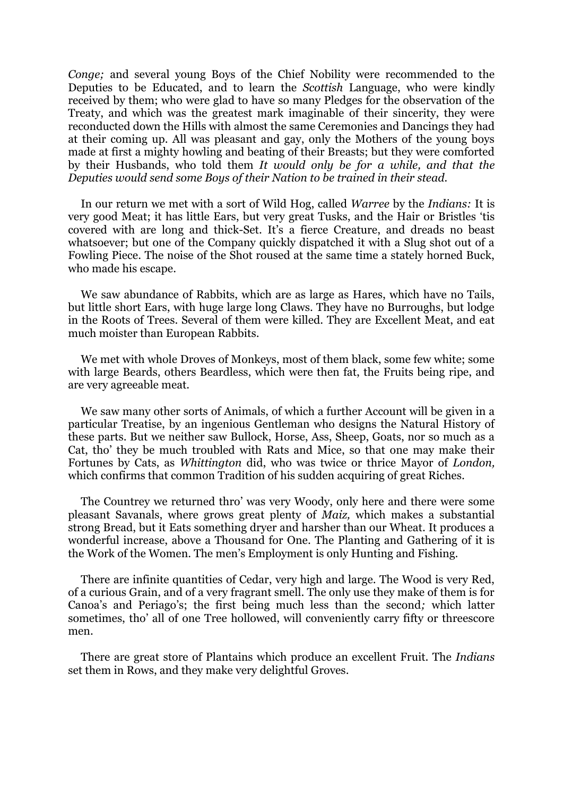*Conge;* and several young Boys of the Chief Nobility were recommended to the Deputies to be Educated, and to learn the *Scottish* Language, who were kindly received by them; who were glad to have so many Pledges for the observation of the Treaty, and which was the greatest mark imaginable of their sincerity, they were reconducted down the Hills with almost the same Ceremonies and Dancings they had at their coming up. All was pleasant and gay, only the Mothers of the young boys made at first a mighty howling and beating of their Breasts; but they were comforted by their Husbands, who told them *It would only be for a while, and that the Deputies would send some Boys of their Nation to be trained in their stead.*

In our return we met with a sort of Wild Hog, called *Warree* by the *Indians:* It is very good Meat; it has little Ears, but very great Tusks, and the Hair or Bristles "tis covered with are long and thick-Set. It"s a fierce Creature, and dreads no beast whatsoever; but one of the Company quickly dispatched it with a Slug shot out of a Fowling Piece. The noise of the Shot roused at the same time a stately horned Buck, who made his escape.

We saw abundance of Rabbits, which are as large as Hares, which have no Tails, but little short Ears, with huge large long Claws. They have no Burroughs, but lodge in the Roots of Trees. Several of them were killed. They are Excellent Meat, and eat much moister than European Rabbits.

We met with whole Droves of Monkeys, most of them black, some few white; some with large Beards, others Beardless, which were then fat, the Fruits being ripe, and are very agreeable meat.

We saw many other sorts of Animals, of which a further Account will be given in a particular Treatise, by an ingenious Gentleman who designs the Natural History of these parts. But we neither saw Bullock, Horse, Ass, Sheep, Goats, nor so much as a Cat, tho" they be much troubled with Rats and Mice, so that one may make their Fortunes by Cats, as *Whittington* did, who was twice or thrice Mayor of *London,*  which confirms that common Tradition of his sudden acquiring of great Riches.

The Countrey we returned thro' was very Woody, only here and there were some pleasant Savanals, where grows great plenty of *Maiz,* which makes a substantial strong Bread, but it Eats something dryer and harsher than our Wheat. It produces a wonderful increase, above a Thousand for One. The Planting and Gathering of it is the Work of the Women. The men"s Employment is only Hunting and Fishing.

There are infinite quantities of Cedar, very high and large. The Wood is very Red, of a curious Grain, and of a very fragrant smell. The only use they make of them is for Canoa"s and Periago"s; the first being much less than the second*;* which latter sometimes, tho" all of one Tree hollowed, will conveniently carry fifty or threescore men.

There are great store of Plantains which produce an excellent Fruit. The *Indians*  set them in Rows, and they make very delightful Groves.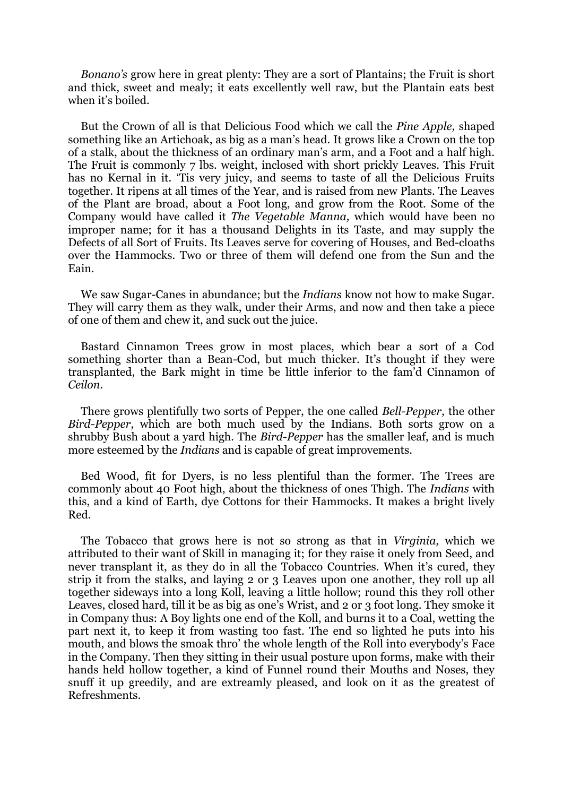*Bonano's* grow here in great plenty: They are a sort of Plantains; the Fruit is short and thick, sweet and mealy; it eats excellently well raw, but the Plantain eats best when it's boiled.

But the Crown of all is that Delicious Food which we call the *Pine Apple,* shaped something like an Artichoak, as big as a man"s head. It grows like a Crown on the top of a stalk, about the thickness of an ordinary man"s arm, and a Foot and a half high. The Fruit is commonly 7 lbs. weight, inclosed with short prickly Leaves. This Fruit has no Kernal in it. "Tis very juicy, and seems to taste of all the Delicious Fruits together. It ripens at all times of the Year, and is raised from new Plants. The Leaves of the Plant are broad, about a Foot long, and grow from the Root. Some of the Company would have called it *The Vegetable Manna,* which would have been no improper name; for it has a thousand Delights in its Taste, and may supply the Defects of all Sort of Fruits. Its Leaves serve for covering of Houses, and Bed-cloaths over the Hammocks. Two or three of them will defend one from the Sun and the Eain.

We saw Sugar-Canes in abundance; but the *Indians* know not how to make Sugar. They will carry them as they walk, under their Arms, and now and then take a piece of one of them and chew it, and suck out the juice.

Bastard Cinnamon Trees grow in most places, which bear a sort of a Cod something shorter than a Bean-Cod, but much thicker. It's thought if they were transplanted, the Bark might in time be little inferior to the fam"d Cinnamon of *Ceilon.*

There grows plentifully two sorts of Pepper, the one called *Bell-Pepper,* the other *Bird-Pepper,* which are both much used by the Indians. Both sorts grow on a shrubby Bush about a yard high. The *Bird-Pepper* has the smaller leaf, and is much more esteemed by the *Indians* and is capable of great improvements.

Bed Wood, fit for Dyers, is no less plentiful than the former. The Trees are commonly about 40 Foot high, about the thickness of ones Thigh. The *Indians* with this, and a kind of Earth, dye Cottons for their Hammocks. It makes a bright lively Red.

The Tobacco that grows here is not so strong as that in *Virginia,* which we attributed to their want of Skill in managing it; for they raise it onely from Seed, and never transplant it, as they do in all the Tobacco Countries. When it's cured, they strip it from the stalks, and laying 2 or 3 Leaves upon one another, they roll up all together sideways into a long Koll, leaving a little hollow; round this they roll other Leaves, closed hard, till it be as big as one"s Wrist, and 2 or 3 foot long. They smoke it in Company thus: A Boy lights one end of the Koll, and burns it to a Coal, wetting the part next it, to keep it from wasting too fast. The end so lighted he puts into his mouth, and blows the smoak thro" the whole length of the Roll into everybody"s Face in the Company. Then they sitting in their usual posture upon forms, make with their hands held hollow together, a kind of Funnel round their Mouths and Noses, they snuff it up greedily, and are extreamly pleased, and look on it as the greatest of Refreshments.